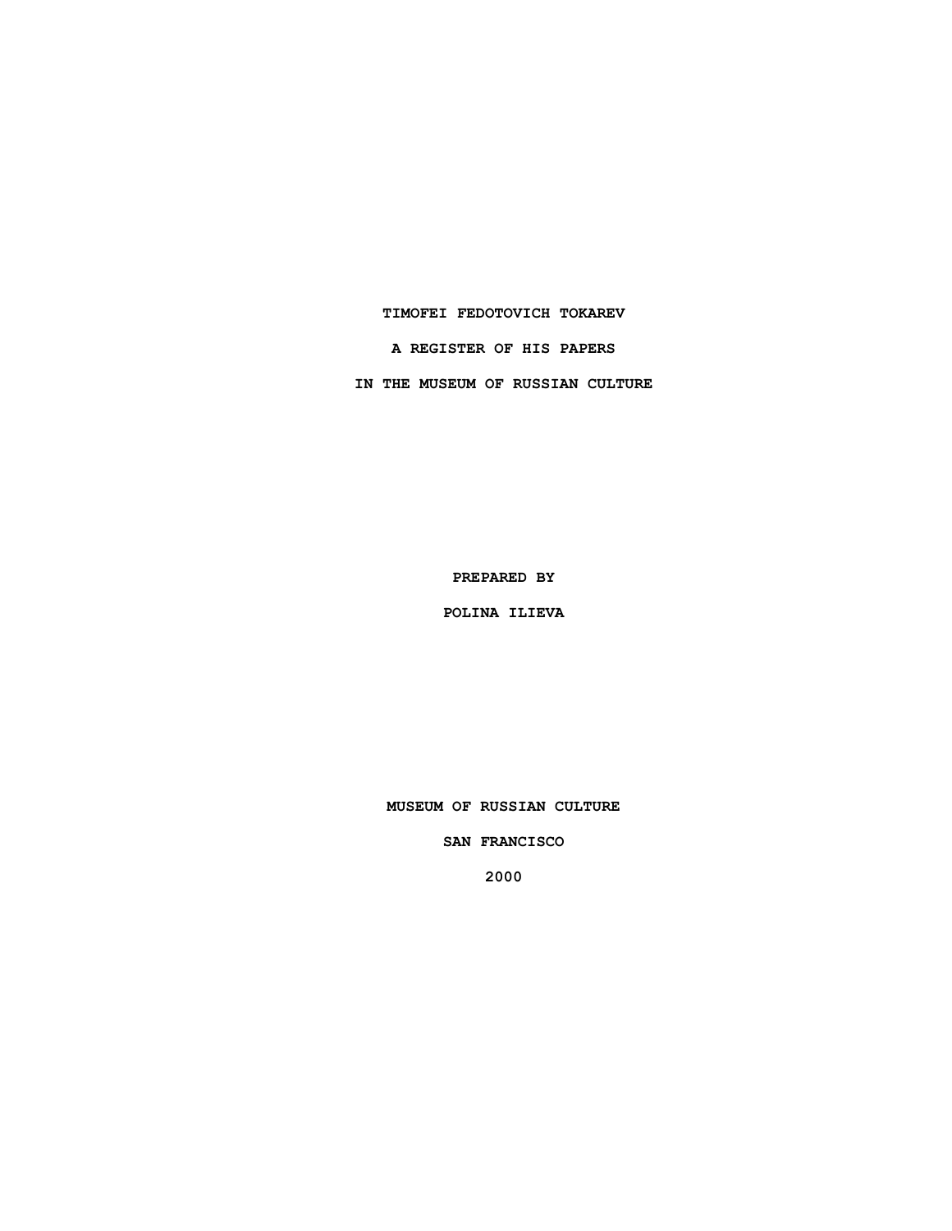### **TIMOFEI FEDOTOVICH TOKAREV**

**A REGISTER OF HIS PAPERS**

**IN THE MUSEUM OF RUSSIAN CULTURE**

**PREPARED BY**

**POLINA ILIEVA**

**MUSEUM OF RUSSIAN CULTURE**

**SAN FRANCISCO**

**2000**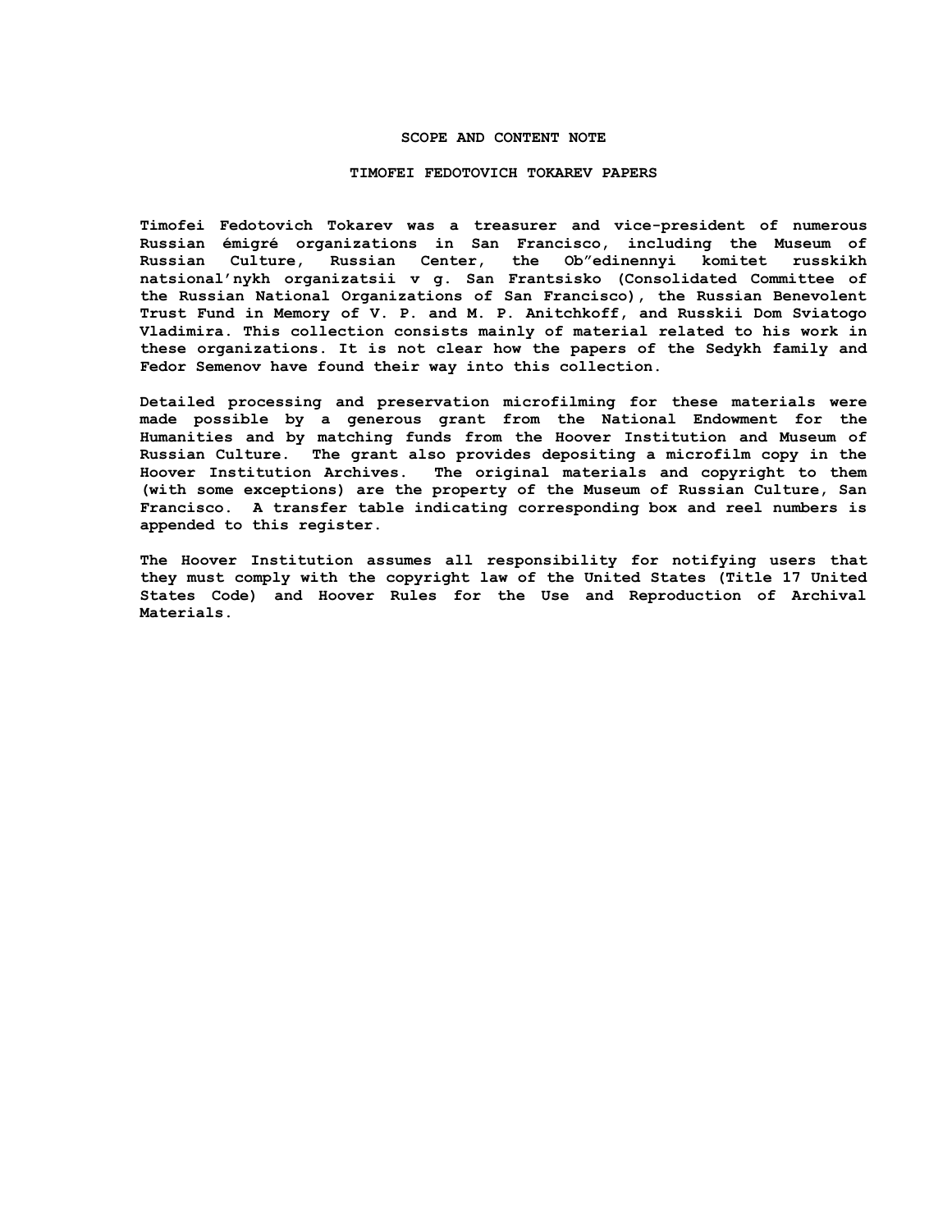## **SCOPE AND CONTENT NOTE**

#### **TIMOFEI FEDOTOVICH TOKAREV PAPERS**

**Timofei Fedotovich Tokarev was a treasurer and vice-president of numerous Russian émigré organizations in San Francisco, including the Museum of Russian Culture, Russian Center, the Ob"edinennyi komitet russkikh natsional'nykh organizatsii v g. San Frantsisko (Consolidated Committee of the Russian National Organizations of San Francisco), the Russian Benevolent Trust Fund in Memory of V. P. and M. P. Anitchkoff, and Russkii Dom Sviatogo Vladimira. This collection consists mainly of material related to his work in these organizations. It is not clear how the papers of the Sedykh family and Fedor Semenov have found their way into this collection.**

**Detailed processing and preservation microfilming for these materials were made possible by a generous grant from the National Endowment for the Humanities and by matching funds from the Hoover Institution and Museum of Russian Culture. The grant also provides depositing a microfilm copy in the Hoover Institution Archives. The original materials and copyright to them (with some exceptions) are the property of the Museum of Russian Culture, San Francisco. A transfer table indicating corresponding box and reel numbers is appended to this register.**

**The Hoover Institution assumes all responsibility for notifying users that they must comply with the copyright law of the United States (Title 17 United States Code) and Hoover Rules for the Use and Reproduction of Archival Materials.**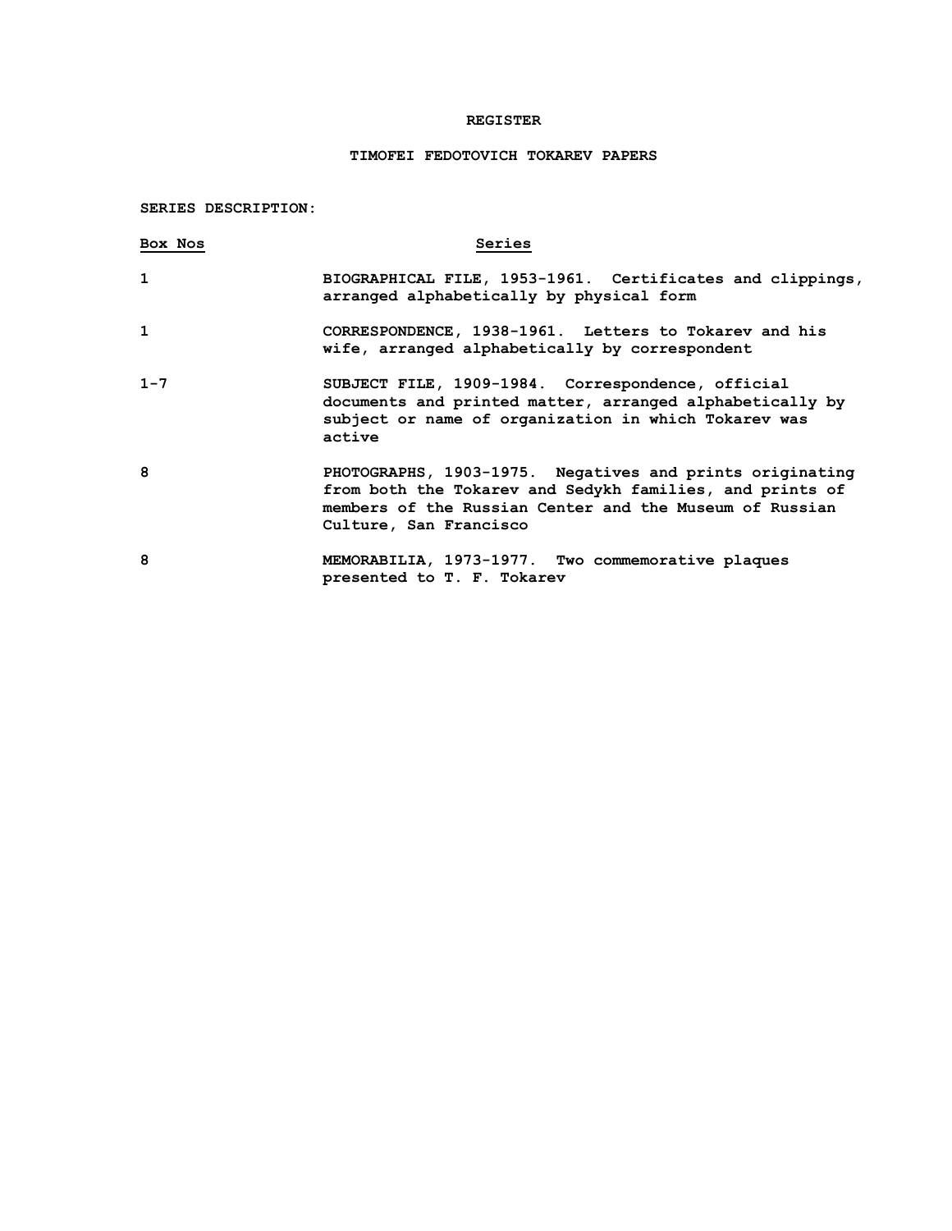## **REGISTER**

# **TIMOFEI FEDOTOVICH TOKAREV PAPERS**

**SERIES DESCRIPTION:**

| Box Nos | Series                                                                                                                                                                                                    |
|---------|-----------------------------------------------------------------------------------------------------------------------------------------------------------------------------------------------------------|
| 1       | BIOGRAPHICAL FILE, 1953-1961. Certificates and clippings,<br>arranged alphabetically by physical form                                                                                                     |
| 1       | CORRESPONDENCE, 1938-1961. Letters to Tokarev and his<br>wife, arranged alphabetically by correspondent                                                                                                   |
| $1 - 7$ | SUBJECT FILE, 1909-1984. Correspondence, official<br>documents and printed matter, arranged alphabetically by<br>subject or name of organization in which Tokarev was<br>active                           |
| 8       | PHOTOGRAPHS, 1903-1975. Negatives and prints originating<br>from both the Tokarev and Sedykh families, and prints of<br>members of the Russian Center and the Museum of Russian<br>Culture, San Francisco |
| 8       | MEMORABILIA, 1973-1977. Two commemorative plaques<br>presented to T. F. Tokarev                                                                                                                           |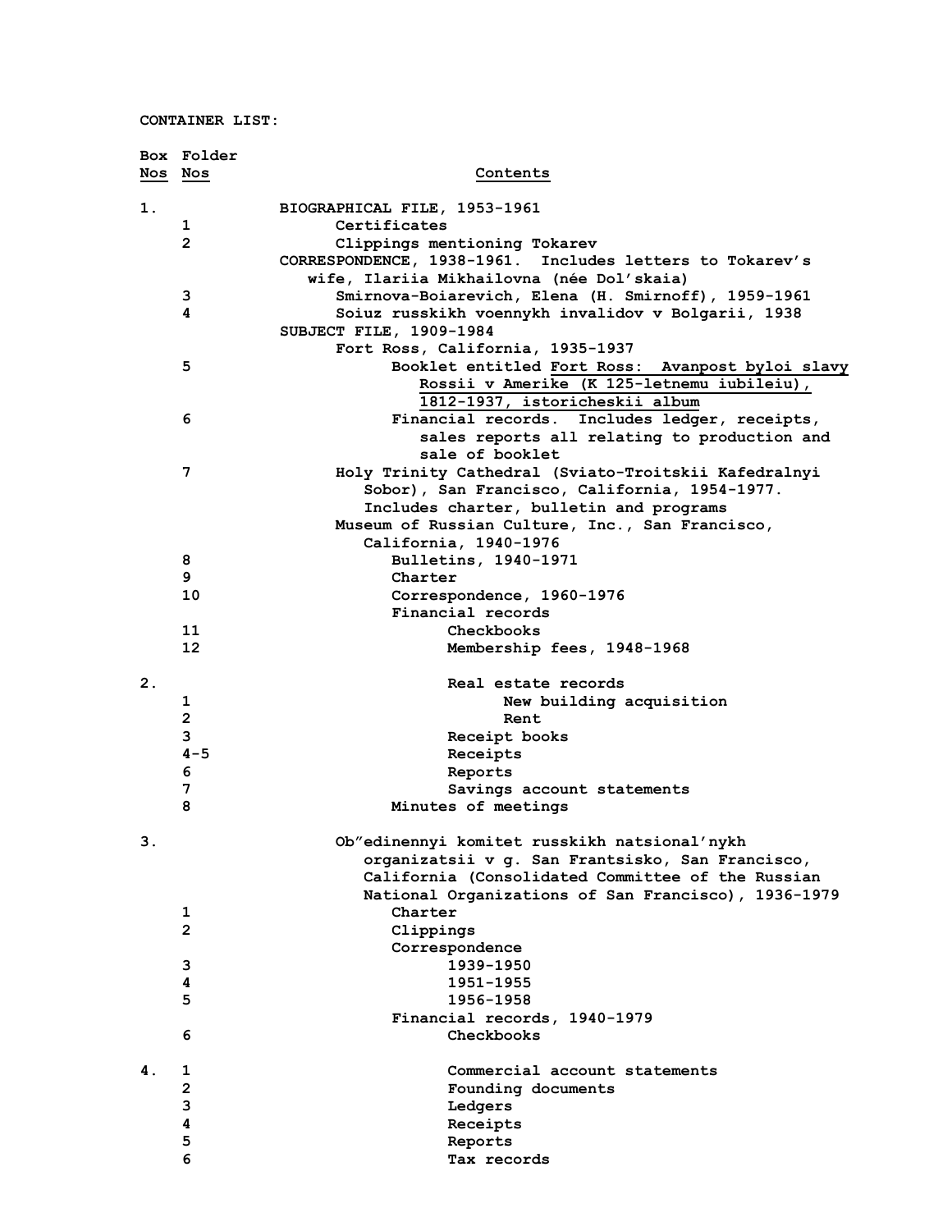**CONTAINER LIST:**

|                | Box Folder                   |                                                                                                  |
|----------------|------------------------------|--------------------------------------------------------------------------------------------------|
|                | Nos Nos                      | Contents                                                                                         |
| 1.             |                              | BIOGRAPHICAL FILE, 1953-1961                                                                     |
|                | 1                            | Certificates                                                                                     |
|                | $\overline{2}$               | Clippings mentioning Tokarev                                                                     |
|                |                              | CORRESPONDENCE, 1938-1961. Includes letters to Tokarev's                                         |
|                |                              | wife, Ilariia Mikhailovna (née Dol'skaia)                                                        |
|                | 3                            | Smirnova-Boiarevich, Elena (H. Smirnoff), 1959-1961                                              |
|                | 4                            | Soiuz russkikh voennykh invalidov v Bolgarii, 1938                                               |
|                |                              | SUBJECT FILE, 1909-1984                                                                          |
|                |                              | Fort Ross, California, 1935-1937                                                                 |
|                | 5                            | Booklet entitled Fort Ross: Avanpost byloi slavy                                                 |
|                |                              | Rossii v Amerike (K 125-letnemu iubileiu),                                                       |
|                |                              | 1812-1937, istoricheskii album                                                                   |
|                | 6                            | Financial records. Includes ledger, receipts,                                                    |
|                |                              | sales reports all relating to production and                                                     |
|                |                              | sale of booklet                                                                                  |
|                | 7                            | Holy Trinity Cathedral (Sviato-Troitskii Kafedralnyi                                             |
|                |                              | Sobor), San Francisco, California, 1954-1977.                                                    |
|                |                              | Includes charter, bulletin and programs                                                          |
|                |                              | Museum of Russian Culture, Inc., San Francisco,                                                  |
|                |                              | California, 1940-1976                                                                            |
|                | 8                            | Bulletins, 1940-1971                                                                             |
|                | 9                            | Charter                                                                                          |
|                | 10                           | Correspondence, 1960-1976                                                                        |
|                |                              | Financial records                                                                                |
|                | 11                           | Checkbooks                                                                                       |
|                | 12                           | Membership fees, 1948-1968                                                                       |
| 2 <sub>1</sub> |                              | Real estate records                                                                              |
|                | 1                            | New building acquisition                                                                         |
|                | $\overline{2}$               | Rent                                                                                             |
|                | 3                            | Receipt books                                                                                    |
|                | $4 - 5$                      | Receipts                                                                                         |
|                | 6                            | Reports                                                                                          |
|                | 7                            | Savings account statements                                                                       |
|                | 8                            | Minutes of meetings                                                                              |
|                |                              |                                                                                                  |
| З.             |                              | Ob"edinennyi komitet russkikh natsional'nykh<br>organizatsii v g. San Frantsisko, San Francisco, |
|                |                              | California (Consolidated Committee of the Russian                                                |
|                |                              | National Organizations of San Francisco), 1936-1979                                              |
|                | 1                            | Charter                                                                                          |
|                | $\overline{2}$               | Clippings                                                                                        |
|                |                              | Correspondence                                                                                   |
|                | 3                            | 1939-1950                                                                                        |
|                | 4                            | 1951-1955                                                                                        |
|                | 5                            | 1956-1958                                                                                        |
|                |                              | Financial records, 1940-1979                                                                     |
|                | 6                            | Checkbooks                                                                                       |
|                |                              |                                                                                                  |
| 4.             | 1                            | Commercial account statements                                                                    |
|                | $\overline{\mathbf{c}}$<br>3 | Founding documents                                                                               |
|                | 4                            | Ledgers<br>Receipts                                                                              |
|                | 5                            | Reports                                                                                          |
|                | 6                            | Tax records                                                                                      |
|                |                              |                                                                                                  |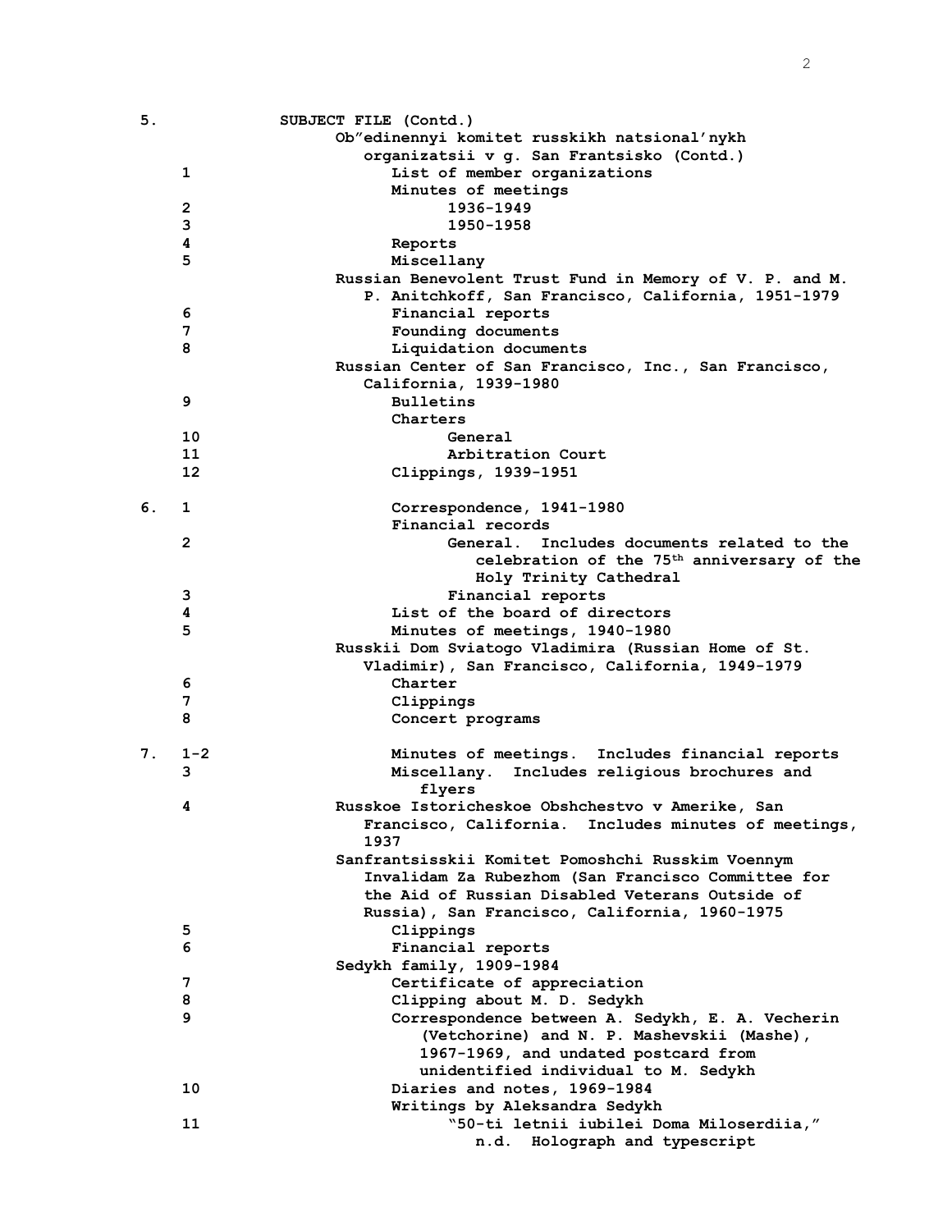| 5. |              | SUBJECT FILE (Contd.)                                   |
|----|--------------|---------------------------------------------------------|
|    |              | Ob"edinennyi komitet russkikh natsional'nykh            |
|    |              | organizatsii v g. San Frantsisko (Contd.)               |
|    | 1            | List of member organizations                            |
|    |              | Minutes of meetings                                     |
|    | $\mathbf{2}$ | 1936-1949                                               |
|    | 3            | 1950-1958                                               |
|    | 4            | Reports                                                 |
|    | 5            | Miscellany                                              |
|    |              | Russian Benevolent Trust Fund in Memory of V. P. and M. |
|    |              | P. Anitchkoff, San Francisco, California, 1951-1979     |
|    | 6            | Financial reports                                       |
|    | 7            | Founding documents                                      |
|    | 8            | Liquidation documents                                   |
|    |              | Russian Center of San Francisco, Inc., San Francisco,   |
|    |              | California, 1939-1980                                   |
|    | 9            | <b>Bulletins</b>                                        |
|    |              | Charters                                                |
|    | 10           | General                                                 |
|    | 11           | Arbitration Court                                       |
|    | 12           | Clippings, 1939-1951                                    |
|    |              |                                                         |
| 6. | 1            | Correspondence, 1941-1980                               |
|    |              | Financial records                                       |
|    | $\mathbf{2}$ | General. Includes documents related to the              |
|    |              |                                                         |
|    |              | celebration of the 75 <sup>th</sup> anniversary of the  |
|    |              | Holy Trinity Cathedral                                  |
|    | 3            | Financial reports                                       |
|    | 4            | List of the board of directors                          |
|    | 5            | Minutes of meetings, 1940-1980                          |
|    |              | Russkii Dom Sviatogo Vladimira (Russian Home of St.     |
|    |              | Vladimir), San Francisco, California, 1949-1979         |
|    | 6            | Charter                                                 |
|    | 7            | Clippings                                               |
|    | 8            | Concert programs                                        |
|    |              |                                                         |
| 7. | $1 - 2$      | Minutes of meetings. Includes financial reports         |
|    | 3            | Miscellany. Includes religious brochures and            |
|    |              | flyers                                                  |
|    | 4            | Russkoe Istoricheskoe Obshchestvo v Amerike, San        |
|    |              | Francisco, California. Includes minutes of meetings,    |
|    |              | 1937                                                    |
|    |              | Sanfrantsisskii Komitet Pomoshchi Russkim Voennym       |
|    |              | Invalidam Za Rubezhom (San Francisco Committee for      |
|    |              | the Aid of Russian Disabled Veterans Outside of         |
|    |              | Russia), San Francisco, California, 1960-1975           |
|    | 5            | Clippings                                               |
|    | 6            | Financial reports                                       |
|    |              | Sedykh family, 1909-1984                                |
|    | 7            | Certificate of appreciation                             |
|    | 8            | Clipping about M. D. Sedykh                             |
|    | 9            | Correspondence between A. Sedykh, E. A. Vecherin        |
|    |              | (Vetchorine) and N. P. Mashevskii (Mashe),              |
|    |              | 1967-1969, and undated postcard from                    |
|    |              | unidentified individual to M. Sedykh                    |
|    | 10           | Diaries and notes, 1969-1984                            |
|    |              | Writings by Aleksandra Sedykh                           |
|    | 11           | "50-ti letnii iubilei Doma Miloserdiia,"                |
|    |              | n.d. Holograph and typescript                           |